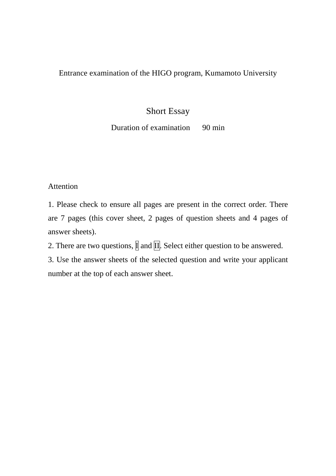#### Entrance examination of the HIGO program, Kumamoto University

## Short Essay

### Duration of examination 90 min

#### Attention

1. Please check to ensure all pages are present in the correct order. There are 7 pages (this cover sheet, 2 pages of question sheets and 4 pages of answer sheets).

2. There are two questions,  $\overline{\mathbb{I}}$  and  $\overline{\mathbb{II}}$ . Select either question to be answered.

3. Use the answer sheets of the selected question and write your applicant number at the top of each answer sheet.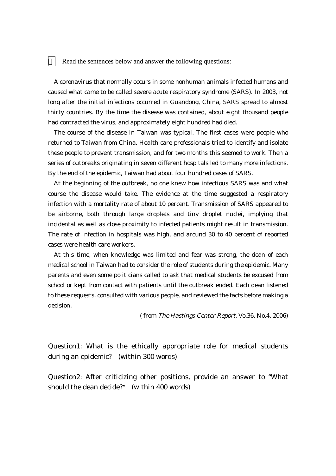Read the sentences below and answer the following questions:

A coronavirus that normally occurs in some nonhuman animals infected humans and caused what came to be called severe acute respiratory syndrome (SARS). In 2003, not long after the initial infections occurred in Guandong, China, SARS spread to almost thirty countries. By the time the disease was contained, about eight thousand people had contracted the virus, and approximately eight hundred had died.

The course of the disease in Taiwan was typical. The first cases were people who returned to Taiwan from China. Health care professionals tried to identify and isolate these people to prevent transmission, and for two months this seemed to work. Then a series of outbreaks originating in seven different hospitals led to many more infections. By the end of the epidemic, Taiwan had about four hundred cases of SARS.

At the beginning of the outbreak, no one knew how infectious SARS was and what course the disease would take. The evidence at the time suggested a respiratory infection with a mortality rate of about 10 percent. Transmission of SARS appeared to be airborne, both through large droplets and tiny droplet nuclei, implying that incidental as well as close proximity to infected patients might result in transmission. The rate of infection in hospitals was high, and around 30 to 40 percent of reported cases were health care workers.

At this time, when knowledge was limited and fear was strong, the dean of each medical school in Taiwan had to consider the role of students during the epidemic. Many parents and even some politicians called to ask that medical students be excused from school or kept from contact with patients until the outbreak ended. Each dean listened to these requests, consulted with various people, and reviewed the facts before making a decision.

( from The Hastings Center Report, Vo.36, No.4, 2006)

Question1: What is the ethically appropriate role for medical students during an epidemic? (within 300 words)

Question2: After criticizing other positions, provide an answer to "What should the dean decide?" (within 400 words)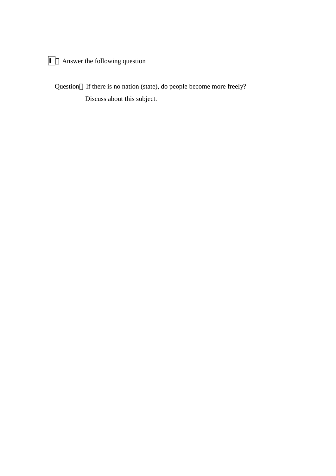# Answer the following question

Question If there is no nation (state), do people become more freely? Discuss about this subject.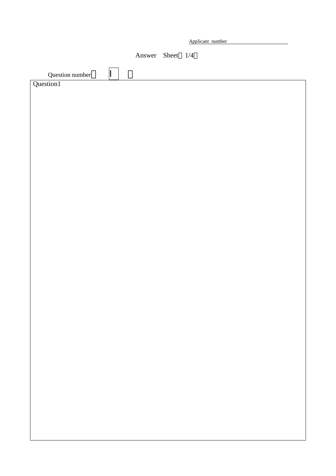|                 |                  | Applicant number |  |
|-----------------|------------------|------------------|--|
|                 |                  |                  |  |
|                 | Answer Sheet 1/4 |                  |  |
|                 |                  |                  |  |
| Question number |                  |                  |  |
| Question1       |                  |                  |  |
|                 |                  |                  |  |
|                 |                  |                  |  |
|                 |                  |                  |  |
|                 |                  |                  |  |
|                 |                  |                  |  |
|                 |                  |                  |  |
|                 |                  |                  |  |
|                 |                  |                  |  |
|                 |                  |                  |  |
|                 |                  |                  |  |
|                 |                  |                  |  |
|                 |                  |                  |  |
|                 |                  |                  |  |
|                 |                  |                  |  |
|                 |                  |                  |  |
|                 |                  |                  |  |
|                 |                  |                  |  |
|                 |                  |                  |  |
|                 |                  |                  |  |
|                 |                  |                  |  |
|                 |                  |                  |  |
|                 |                  |                  |  |
|                 |                  |                  |  |
|                 |                  |                  |  |
|                 |                  |                  |  |
|                 |                  |                  |  |
|                 |                  |                  |  |
|                 |                  |                  |  |
|                 |                  |                  |  |
|                 |                  |                  |  |
|                 |                  |                  |  |
|                 |                  |                  |  |
|                 |                  |                  |  |
|                 |                  |                  |  |
|                 |                  |                  |  |
|                 |                  |                  |  |
|                 |                  |                  |  |
|                 |                  |                  |  |
|                 |                  |                  |  |
|                 |                  |                  |  |
|                 |                  |                  |  |
|                 |                  |                  |  |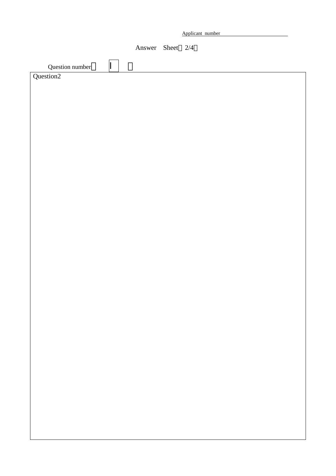| Applicant number |  |
|------------------|--|
|                  |  |

Answer Sheet 2/4

| Question number       |  |
|-----------------------|--|
| Question <sub>2</sub> |  |
|                       |  |
|                       |  |
|                       |  |
|                       |  |
|                       |  |
|                       |  |
|                       |  |
|                       |  |
|                       |  |
|                       |  |
|                       |  |
|                       |  |
|                       |  |
|                       |  |
|                       |  |
|                       |  |
|                       |  |
|                       |  |
|                       |  |
|                       |  |
|                       |  |
|                       |  |
|                       |  |
|                       |  |
|                       |  |
|                       |  |
|                       |  |
|                       |  |
|                       |  |
|                       |  |
|                       |  |
|                       |  |
|                       |  |
|                       |  |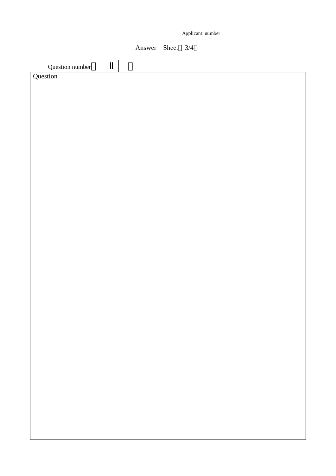|                 |                  | Applicant number |  |
|-----------------|------------------|------------------|--|
|                 | Answer Sheet 3/4 |                  |  |
| Question number |                  |                  |  |
| stion           |                  |                  |  |
|                 |                  |                  |  |
|                 |                  |                  |  |
|                 |                  |                  |  |
|                 |                  |                  |  |
|                 |                  |                  |  |
|                 |                  |                  |  |
|                 |                  |                  |  |
|                 |                  |                  |  |
|                 |                  |                  |  |
|                 |                  |                  |  |
|                 |                  |                  |  |
|                 |                  |                  |  |
|                 |                  |                  |  |
|                 |                  |                  |  |
|                 |                  |                  |  |
|                 |                  |                  |  |
|                 |                  |                  |  |
|                 |                  |                  |  |

**Question**